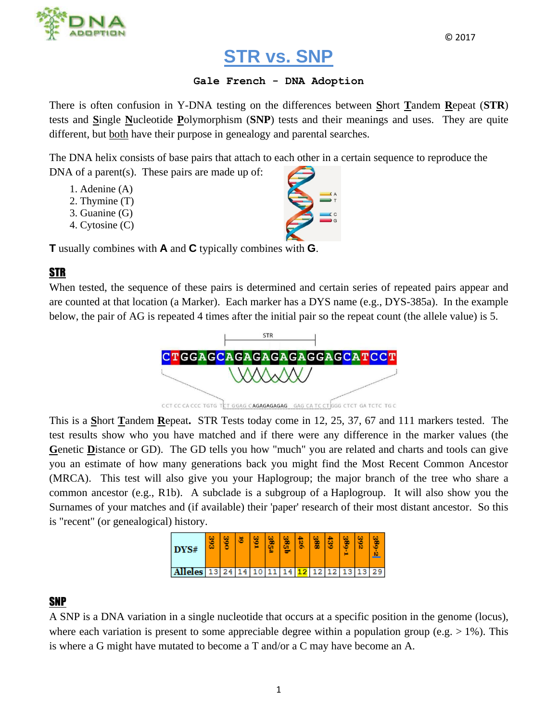

© 2017

## **STR vs. SNP**

## **Gale French - DNA Adoption**

There is often confusion in Y-DNA testing on the differences between **S**hort **T**andem **R**epeat (**STR**) tests and **S**ingle **N**ucleotide **P**olymorphism (**SNP**) tests and their meanings and uses. They are quite different, but both have their purpose in genealogy and parental searches.

The DNA helix consists of base pairs that attach to each other in a certain sequence to reproduce the DNA of a parent(s). These pairs are made up of:

- 1. Adenine (A)
- 2. Thymine (T)
- 3. Guanine (G)
- 4. Cytosine (C)

**T** usually combines with **A** and **C** typically combines with **G**.

## STR

When tested, the sequence of these pairs is determined and certain series of repeated pairs appear and are counted at that location (a Marker). Each marker has a DYS name (e.g., DYS-385a). In the example below, the pair of AG is repeated 4 times after the initial pair so the repeat count (the allele value) is 5.



This is a **S**hort **T**andem **R**epeat**.** STR Tests today come in 12, 25, 37, 67 and 111 markers tested. The test results show who you have matched and if there were any difference in the marker values (the **G**enetic **D**istance or GD). The GD tells you how "much" you are related and charts and tools can give you an estimate of how many generations back you might find the Most Recent Common Ancestor (MRCA). This test will also give you your Haplogroup; the major branch of the tree who share a common ancestor (e.g., R1b). A subclade is a subgroup of a Haplogroup. It will also show you the Surnames of your matches and (if available) their 'paper' research of their most distant ancestor. So this is "recent" (or genealogical) history.

| DYS#           | ۰.,<br>ω |    | <b>A.A.</b> |  | ., | n.<br>÷ | m | ш |  |
|----------------|----------|----|-------------|--|----|---------|---|---|--|
| <b>Alleles</b> | з        | 24 |             |  |    |         |   |   |  |

## SNP

A SNP is a DNA variation in a single nucleotide that occurs at a specific position in the genome (locus), where each variation is present to some appreciable degree within a population group (e.g.  $> 1\%$ ). This is where a G might have mutated to become a T and/or a C may have become an A.